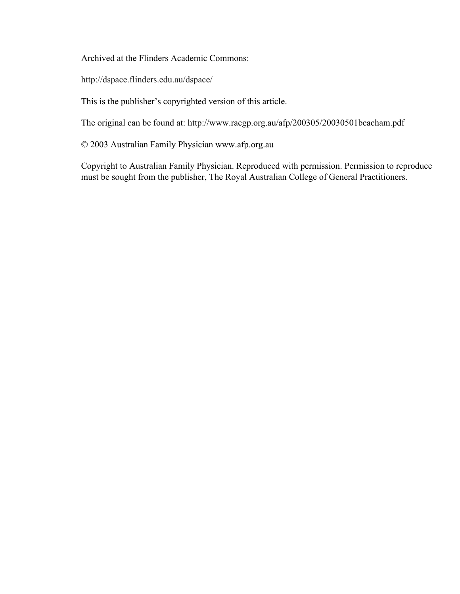Archived at the Flinders Academic Commons:

http://dspace.flinders.edu.au/dspace/

This is the publisher's copyrighted version of this article.

The original can be found at: http://www.racgp.org.au/afp/200305/20030501beacham.pdf

© 2003 Australian Family Physician www.afp.org.au

Copyright to Australian Family Physician. Reproduced with permission. Permission to reproduce must be sought from the publisher, The Royal Australian College of General Practitioners.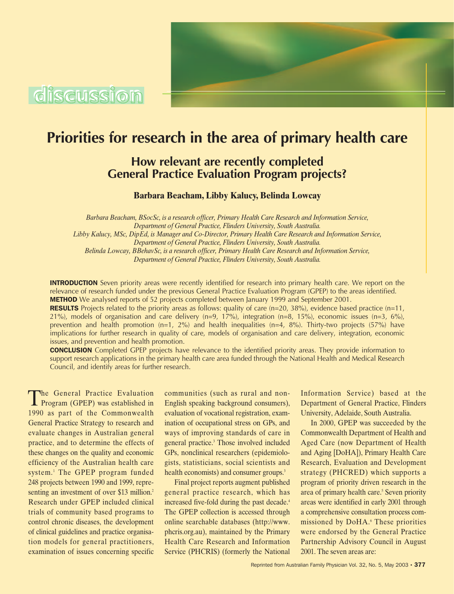

# **Priorities for research in the area of primary health care**

**How relevant are recently completed General Practice Evaluation Program projects?**

**Barbara Beacham, Libby Kalucy, Belinda Lowcay**

*Barbara Beacham, BSocSc, is a research officer, Primary Health Care Research and Information Service, Department of General Practice, Flinders University, South Australia. Libby Kalucy, MSc, DipEd, is Manager and Co-Director, Primary Health Care Research and Information Service, Department of General Practice, Flinders University, South Australia. Belinda Lowcay, BBehavSc, is a research officer, Primary Health Care Research and Information Service, Department of General Practice, Flinders University, South Australia.*

**INTRODUCTION** Seven priority areas were recently identified for research into primary health care. We report on the relevance of research funded under the previous General Practice Evaluation Program (GPEP) to the areas identified. **METHOD** We analysed reports of 52 projects completed between January 1999 and September 2001.

**RESULTS** Projects related to the priority areas as follows: quality of care ( $n=20$ , 38%), evidence based practice ( $n=11$ , 21%), models of organisation and care delivery (n=9, 17%), integration (n=8, 15%), economic issues (n=3, 6%), prevention and health promotion (n=1, 2%) and health inequalities (n=4, 8%). Thirty-two projects (57%) have implications for further research in quality of care, models of organisation and care delivery, integration, economic issues, and prevention and health promotion.

CONCLUSION Completed GPEP projects have relevance to the identified priority areas. They provide information to support research applications in the primary health care area funded through the National Health and Medical Research Council, and identify areas for further research.

The General Practice Evaluation Program (GPEP) was established in 1990 as part of the Commonwealth General Practice Strategy to research and evaluate changes in Australian general practice, and to determine the effects of these changes on the quality and economic efficiency of the Australian health care system.1 The GPEP program funded 248 projects between 1990 and 1999, representing an investment of over \$13 million.<sup>2</sup> Research under GPEP included clinical trials of community based programs to control chronic diseases, the development of clinical guidelines and practice organisation models for general practitioners, examination of issues concerning specific

communities (such as rural and non-English speaking background consumers), evaluation of vocational registration, examination of occupational stress on GPs, and ways of improving standards of care in general practice.3 Those involved included GPs, nonclinical researchers (epidemiologists, statisticians, social scientists and health economists) and consumer groups.<sup>3</sup>

Final project reports augment published general practice research, which has increased five-fold during the past decade.<sup>4</sup> The GPEP collection is accessed through online searchable databases (http://www. phcris.org.au), maintained by the Primary Health Care Research and Information Service (PHCRIS) (formerly the National

Information Service) based at the Department of General Practice, Flinders University, Adelaide, South Australia.

In 2000, GPEP was succeeded by the Commonwealth Department of Health and Aged Care (now Department of Health and Aging [DoHA]), Primary Health Care Research, Evaluation and Development strategy (PHCRED) which supports a program of priority driven research in the area of primary health care.<sup>5</sup> Seven priority areas were identified in early 2001 through a comprehensive consultation process commissioned by DoHA.<sup>6</sup> These priorities were endorsed by the General Practice Partnership Advisory Council in August 2001. The seven areas are: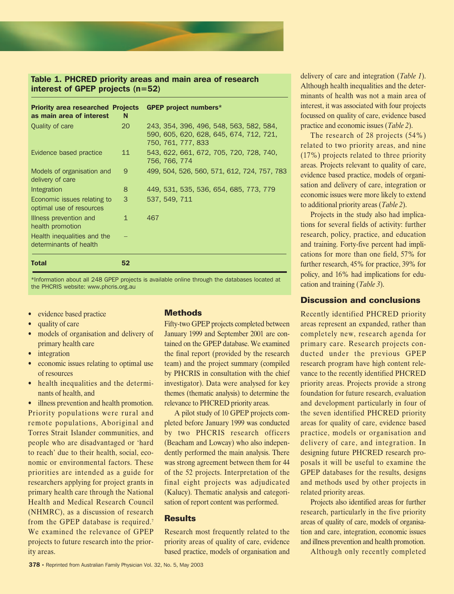

# Table 1. PHCRED priority areas and main area of research interest of GPEP projects (n=52)

| <b>Priority area researched Projects</b>                |    | <b>GPEP project numbers*</b>                                                                             |  |  |  |  |  |
|---------------------------------------------------------|----|----------------------------------------------------------------------------------------------------------|--|--|--|--|--|
| as main area of interest                                | N  |                                                                                                          |  |  |  |  |  |
| Quality of care                                         | 20 | 243, 354, 396, 496, 548, 563, 582, 584,<br>590, 605, 620, 628, 645, 674, 712, 721,<br>750, 761, 777, 833 |  |  |  |  |  |
| Evidence based practice                                 | 11 | 543, 622, 661, 672, 705, 720, 728, 740,<br>756, 766, 774                                                 |  |  |  |  |  |
| Models of organisation and<br>delivery of care          | 9  | 499, 504, 526, 560, 571, 612, 724, 757, 783                                                              |  |  |  |  |  |
| Integration                                             | 8  | 449, 531, 535, 536, 654, 685, 773, 779                                                                   |  |  |  |  |  |
| Economic issues relating to<br>optimal use of resources | 3  | 537, 549, 711                                                                                            |  |  |  |  |  |
| Illness prevention and<br>health promotion              | 1  | 467                                                                                                      |  |  |  |  |  |
| Health inequalities and the<br>determinants of health   |    |                                                                                                          |  |  |  |  |  |
| <b>Total</b>                                            | 52 |                                                                                                          |  |  |  |  |  |

\*Information about all 248 GPEP projects is available online through the databases located at the PHCRIS website: www.phcris.org.au

- evidence based practice
- quality of care
- models of organisation and delivery of primary health care
- *integration*
- economic issues relating to optimal use of resources
- health inequalities and the determinants of health, and

• illness prevention and health promotion. Priority populations were rural and remote populations, Aboriginal and Torres Strait Islander communities, and people who are disadvantaged or 'hard to reach' due to their health, social, economic or environmental factors. These priorities are intended as a guide for researchers applying for project grants in primary health care through the National Health and Medical Research Council (NHMRC), as a discussion of research from the GPEP database is required.<sup>7</sup> We examined the relevance of GPEP projects to future research into the priority areas.

# **Methods**

Fifty-two GPEP projects completed between January 1999 and September 2001 are contained on the GPEP database. We examined the final report (provided by the research team) and the project summary (compiled by PHCRIS in consultation with the chief investigator). Data were analysed for key themes (thematic analysis) to determine the relevance to PHCRED priority areas.

A pilot study of 10 GPEP projects completed before January 1999 was conducted by two PHCRIS research officers (Beacham and Lowcay) who also independently performed the main analysis. There was strong agreement between them for 44 of the 52 projects. Interpretation of the final eight projects was adjudicated (Kalucy). Thematic analysis and categorisation of report content was performed.

### **Results**

Research most frequently related to the priority areas of quality of care, evidence based practice, models of organisation and delivery of care and integration (*Table 1*). Although health inequalities and the determinants of health was not a main area of interest, it was associated with four projects focussed on quality of care, evidence based practice and economic issues (*Table 2*).

The research of 28 projects (54%) related to two priority areas, and nine (17%) projects related to three priority areas. Projects relevant to quality of care, evidence based practice, models of organisation and delivery of care, integration or economic issues were more likely to extend to additional priority areas (*Table 2*).

Projects in the study also had implications for several fields of activity: further research, policy, practice, and education and training. Forty-five percent had implications for more than one field, 57% for further research, 45% for practice, 39% for policy, and 16% had implications for education and training (*Table 3*).

# **Discussion and conclusions**

Recently identified PHCRED priority areas represent an expanded, rather than completely new, research agenda for primary care. Research projects conducted under the previous GPEP research program have high content relevance to the recently identified PHCRED priority areas. Projects provide a strong foundation for future research, evaluation and development particularly in four of the seven identified PHCRED priority areas for quality of care, evidence based practice, models or organisation and delivery of care, and integration. In designing future PHCRED research proposals it will be useful to examine the GPEP databases for the results, designs and methods used by other projects in related priority areas.

Projects also identified areas for further research, particularly in the five priority areas of quality of care, models of organisation and care, integration, economic issues and illness prevention and health promotion.

Although only recently completed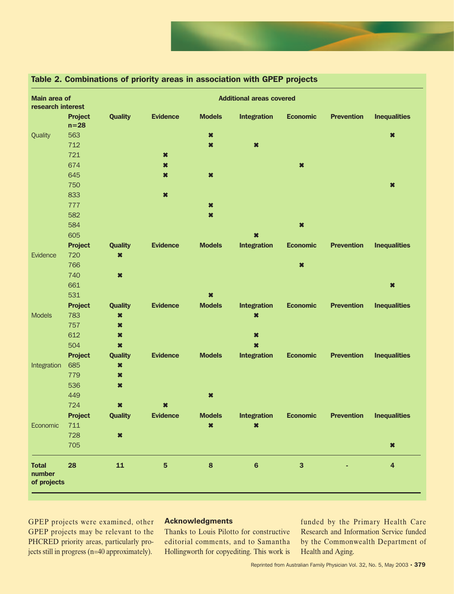

| Main area of<br>research interest     |                          |                |                     |                     | <b>Additional areas covered</b> |                         |                   |                         |
|---------------------------------------|--------------------------|----------------|---------------------|---------------------|---------------------------------|-------------------------|-------------------|-------------------------|
|                                       | <b>Project</b><br>$n=28$ | <b>Quality</b> | <b>Evidence</b>     | <b>Models</b>       | <b>Integration</b>              | <b>Economic</b>         | <b>Prevention</b> | <b>Inequalities</b>     |
| Quality                               | 563                      |                |                     | $\boldsymbol{\ast}$ |                                 |                         |                   | $\ast$                  |
|                                       | 712                      |                |                     | $\ast$              | $\boldsymbol{\ast}$             |                         |                   |                         |
|                                       | 721                      |                | $\boldsymbol{\ast}$ |                     |                                 |                         |                   |                         |
|                                       | 674                      |                | $\ast$              |                     |                                 | $\boldsymbol{\ast}$     |                   |                         |
|                                       | 645                      |                | ×                   | $\boldsymbol{\ast}$ |                                 |                         |                   |                         |
|                                       | 750                      |                |                     |                     |                                 |                         |                   | $\ast$                  |
|                                       | 833                      |                | $\ast$              |                     |                                 |                         |                   |                         |
|                                       | 777                      |                |                     | $\boldsymbol{\ast}$ |                                 |                         |                   |                         |
|                                       | 582                      |                |                     | $\ast$              |                                 |                         |                   |                         |
|                                       | 584                      |                |                     |                     |                                 | $\ast$                  |                   |                         |
|                                       | 605                      |                |                     |                     | $\ast$                          |                         |                   |                         |
|                                       | <b>Project</b>           | <b>Quality</b> | <b>Evidence</b>     | <b>Models</b>       | <b>Integration</b>              | <b>Economic</b>         | <b>Prevention</b> | <b>Inequalities</b>     |
| Evidence                              | 720                      | $\ast$         |                     |                     |                                 |                         |                   |                         |
|                                       | 766                      |                |                     |                     |                                 | $\ast$                  |                   |                         |
|                                       | 740                      | $\ast$         |                     |                     |                                 |                         |                   |                         |
|                                       | 661                      |                |                     |                     |                                 |                         |                   | $\boldsymbol{\ast}$     |
|                                       | 531                      |                |                     | $\ast$              |                                 |                         |                   |                         |
|                                       | <b>Project</b>           | <b>Quality</b> | <b>Evidence</b>     | <b>Models</b>       | <b>Integration</b>              | <b>Economic</b>         | <b>Prevention</b> | <b>Inequalities</b>     |
| <b>Models</b>                         | 783                      | $\ast$         |                     |                     | $\ast$                          |                         |                   |                         |
|                                       | 757                      | $\ast$         |                     |                     |                                 |                         |                   |                         |
|                                       | 612                      | $\ast$         |                     |                     | $\boldsymbol{\ast}$             |                         |                   |                         |
|                                       | 504                      | $\ast$         |                     |                     | $\boldsymbol{\ast}$             |                         |                   |                         |
|                                       | <b>Project</b>           | <b>Quality</b> | <b>Evidence</b>     | <b>Models</b>       | <b>Integration</b>              | <b>Economic</b>         | <b>Prevention</b> | <b>Inequalities</b>     |
| Integration                           | 685                      | $\ast$         |                     |                     |                                 |                         |                   |                         |
|                                       | 779                      | $\ast$         |                     |                     |                                 |                         |                   |                         |
|                                       | 536                      | $\ast$         |                     |                     |                                 |                         |                   |                         |
|                                       | 449                      |                |                     | $\ast$              |                                 |                         |                   |                         |
|                                       | 724                      | $\ast$         | $\ast$              |                     |                                 |                         |                   |                         |
|                                       | <b>Project</b>           | <b>Quality</b> | <b>Evidence</b>     | <b>Models</b>       | <b>Integration</b>              | <b>Economic</b>         | <b>Prevention</b> | <b>Inequalities</b>     |
| Economic                              | 711                      |                |                     | $\ast$              | $\ast$                          |                         |                   |                         |
|                                       | 728                      | $\ast$         |                     |                     |                                 |                         |                   |                         |
|                                       | 705                      |                |                     |                     |                                 |                         |                   | $\boldsymbol{\ast}$     |
| <b>Total</b><br>number<br>of projects | 28                       | ${\bf 11}$     | 5                   | $\pmb{8}$           | $6\phantom{a}$                  | $\overline{\mathbf{3}}$ |                   | $\overline{\mathbf{4}}$ |

# Table 2. Combinations of priority areas in association with GPEP projects

GPEP projects were examined, other GPEP projects may be relevant to the PHCRED priority areas, particularly projects still in progress (n=40 approximately).

# **Acknowledgments**

Thanks to Louis Pilotto for constructive editorial comments, and to Samantha Hollingworth for copyediting. This work is

funded by the Primary Health Care Research and Information Service funded by the Commonwealth Department of Health and Aging.